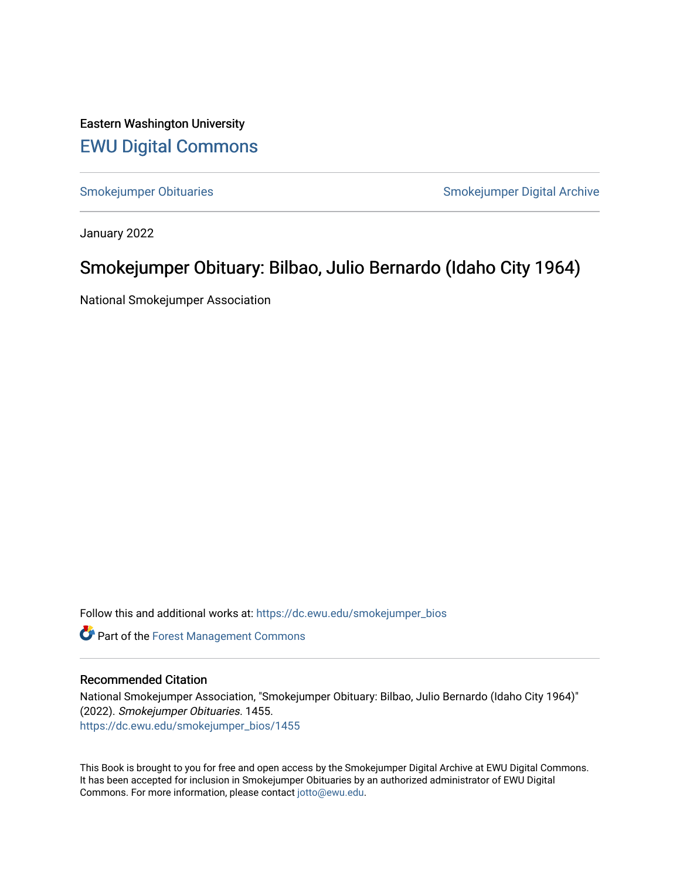Eastern Washington University [EWU Digital Commons](https://dc.ewu.edu/)

[Smokejumper Obituaries](https://dc.ewu.edu/smokejumper_bios) **Smokeyer Community** Smokejumper Digital Archive

January 2022

## Smokejumper Obituary: Bilbao, Julio Bernardo (Idaho City 1964)

National Smokejumper Association

Follow this and additional works at: [https://dc.ewu.edu/smokejumper\\_bios](https://dc.ewu.edu/smokejumper_bios?utm_source=dc.ewu.edu%2Fsmokejumper_bios%2F1455&utm_medium=PDF&utm_campaign=PDFCoverPages) 

**Part of the [Forest Management Commons](http://network.bepress.com/hgg/discipline/92?utm_source=dc.ewu.edu%2Fsmokejumper_bios%2F1455&utm_medium=PDF&utm_campaign=PDFCoverPages)** 

## Recommended Citation

National Smokejumper Association, "Smokejumper Obituary: Bilbao, Julio Bernardo (Idaho City 1964)" (2022). Smokejumper Obituaries. 1455. [https://dc.ewu.edu/smokejumper\\_bios/1455](https://dc.ewu.edu/smokejumper_bios/1455?utm_source=dc.ewu.edu%2Fsmokejumper_bios%2F1455&utm_medium=PDF&utm_campaign=PDFCoverPages)

This Book is brought to you for free and open access by the Smokejumper Digital Archive at EWU Digital Commons. It has been accepted for inclusion in Smokejumper Obituaries by an authorized administrator of EWU Digital Commons. For more information, please contact [jotto@ewu.edu.](mailto:jotto@ewu.edu)